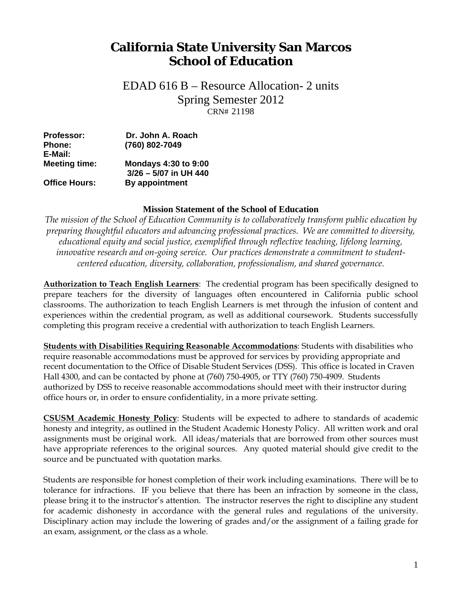# **California State University San Marcos School of Education**

 CRN# 21198 EDAD 616 B – Resource Allocation- 2 units Spring Semester 2012

| <b>Professor:</b>    | Dr. John A. Roach                                    |  |
|----------------------|------------------------------------------------------|--|
| <b>Phone:</b>        | (760) 802-7049                                       |  |
| E-Mail:              |                                                      |  |
| <b>Meeting time:</b> | <b>Mondays 4:30 to 9:00</b><br>3/26 - 5/07 in UH 440 |  |
| <b>Office Hours:</b> | By appointment                                       |  |

#### **Mission Statement of the School of Education**

*The mission of the School of Education Community is to collaboratively transform public education by preparing thoughtful educators and advancing professional practices. We are committed to diversity, educational equity and social justice, exemplified through reflective teaching, lifelong learning, innovative research and on-going service. Our practices demonstrate a commitment to studentcentered education, diversity, collaboration, professionalism, and shared governance.* 

**Authorization to Teach English Learners**: The credential program has been specifically designed to prepare teachers for the diversity of languages often encountered in California public school classrooms. The authorization to teach English Learners is met through the infusion of content and experiences within the credential program, as well as additional coursework. Students successfully completing this program receive a credential with authorization to teach English Learners.

**Students with Disabilities Requiring Reasonable Accommodations**: Students with disabilities who require reasonable accommodations must be approved for services by providing appropriate and recent documentation to the Office of Disable Student Services (DSS). This office is located in Craven Hall 4300, and can be contacted by phone at (760) 750-4905, or TTY (760) 750-4909. Students authorized by DSS to receive reasonable accommodations should meet with their instructor during office hours or, in order to ensure confidentiality, in a more private setting.

source and be punctuated with quotation marks. **CSUSM Academic Honesty Policy**: Students will be expected to adhere to standards of academic honesty and integrity, as outlined in the Student Academic Honesty Policy. All written work and oral assignments must be original work. All ideas/materials that are borrowed from other sources must have appropriate references to the original sources. Any quoted material should give credit to the

Students are responsible for honest completion of their work including examinations. There will be to tolerance for infractions. IF you believe that there has been an infraction by someone in the class, please bring it to the instructor's attention. The instructor reserves the right to discipline any student for academic dishonesty in accordance with the general rules and regulations of the university. Disciplinary action may include the lowering of grades and/or the assignment of a failing grade for an exam, assignment, or the class as a whole.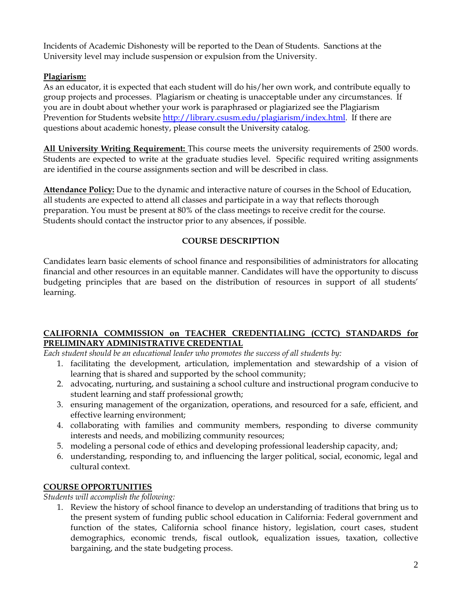Incidents of Academic Dishonesty will be reported to the Dean of Students. Sanctions at the University level may include suspension or expulsion from the University.

# **Plagiarism:**

As an educator, it is expected that each student will do his/her own work, and contribute equally to group projects and processes. Plagiarism or cheating is unacceptable under any circumstances. If you are in doubt about whether your work is paraphrased or plagiarized see the Plagiarism Prevention for Students website http://library.csusm.edu/plagiarism/index.html. If there are questions about academic honesty, please consult the University catalog.

**All University Writing Requirement:** This course meets the university requirements of 2500 words. Students are expected to write at the graduate studies level. Specific required writing assignments are identified in the course assignments section and will be described in class.

**Attendance Policy:** Due to the dynamic and interactive nature of courses in the School of Education, all students are expected to attend all classes and participate in a way that reflects thorough preparation. You must be present at 80% of the class meetings to receive credit for the course. Students should contact the instructor prior to any absences, if possible.

# **COURSE DESCRIPTION**

Candidates learn basic elements of school finance and responsibilities of administrators for allocating financial and other resources in an equitable manner. Candidates will have the opportunity to discuss budgeting principles that are based on the distribution of resources in support of all students' learning.

# **CALIFORNIA COMMISSION on TEACHER CREDENTIALING (CCTC) STANDARDS for PRELIMINARY ADMINISTRATIVE CREDENTIAL**

*Each student should be an educational leader who promotes the success of all students by:* 

- 1. facilitating the development, articulation, implementation and stewardship of a vision of learning that is shared and supported by the school community;
- 2. advocating, nurturing, and sustaining a school culture and instructional program conducive to student learning and staff professional growth;
- 3. ensuring management of the organization, operations, and resourced for a safe, efficient, and effective learning environment;
- 4. collaborating with families and community members, responding to diverse community interests and needs, and mobilizing community resources;
- 5. modeling a personal code of ethics and developing professional leadership capacity, and;
- 6. understanding, responding to, and influencing the larger political, social, economic, legal and cultural context.

# **COURSE OPPORTUNITIES**

*Students will accomplish the following:* 

1. Review the history of school finance to develop an understanding of traditions that bring us to the present system of funding public school education in California: Federal government and function of the states, California school finance history, legislation, court cases, student demographics, economic trends, fiscal outlook, equalization issues, taxation, collective bargaining, and the state budgeting process.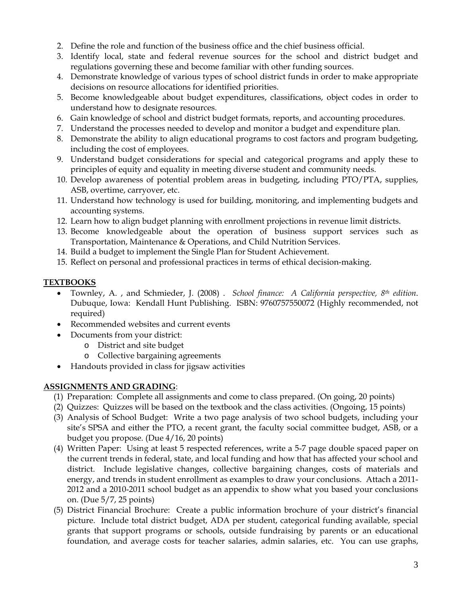- 2. Define the role and function of the business office and the chief business official.
- 3. Identify local, state and federal revenue sources for the school and district budget and regulations governing these and become familiar with other funding sources.
- 4. Demonstrate knowledge of various types of school district funds in order to make appropriate decisions on resource allocations for identified priorities.
- 5. Become knowledgeable about budget expenditures, classifications, object codes in order to understand how to designate resources.
- 6. Gain knowledge of school and district budget formats, reports, and accounting procedures.
- 7. Understand the processes needed to develop and monitor a budget and expenditure plan.
- 8. Demonstrate the ability to align educational programs to cost factors and program budgeting, including the cost of employees.
- 9. Understand budget considerations for special and categorical programs and apply these to principles of equity and equality in meeting diverse student and community needs.
- 10. Develop awareness of potential problem areas in budgeting, including PTO/PTA, supplies, ASB, overtime, carryover, etc.
- 11. Understand how technology is used for building, monitoring, and implementing budgets and accounting systems.
- 12. Learn how to align budget planning with enrollment projections in revenue limit districts.
- 13. Become knowledgeable about the operation of business support services such as Transportation, Maintenance & Operations, and Child Nutrition Services.
- 14. Build a budget to implement the Single Plan for Student Achievement.
- 15. Reflect on personal and professional practices in terms of ethical decision-making.

# **TEXTBOOKS**

- Townley, A. , and Schmieder, J. (2008) . *School finance: A California perspective, 8th edition*. Dubuque, Iowa: Kendall Hunt Publishing. ISBN: 9760757550072 (Highly recommended, not required)
- Recommended websites and current events
- Documents from your district:
	- o District and site budget
	- o Collective bargaining agreements
- Handouts provided in class for jigsaw activities

#### **ASSIGNMENTS AND GRADING**:

- (1) Preparation: Complete all assignments and come to class prepared. (On going, 20 points)
- (2) Quizzes: Quizzes will be based on the textbook and the class activities. (Ongoing, 15 points)
- (3) Analysis of School Budget: Write a two page analysis of two school budgets, including your site's SPSA and either the PTO, a recent grant, the faculty social committee budget, ASB, or a budget you propose. (Due 4/16, 20 points)
- (4) Written Paper: Using at least 5 respected references, write a 5-7 page double spaced paper on the current trends in federal, state, and local funding and how that has affected your school and district. Include legislative changes, collective bargaining changes, costs of materials and energy, and trends in student enrollment as examples to draw your conclusions. Attach a 2011- 2012 and a 2010-2011 school budget as an appendix to show what you based your conclusions on. (Due 5/7, 25 points)
- (5) District Financial Brochure: Create a public information brochure of your district's financial picture. Include total district budget, ADA per student, categorical funding available, special grants that support programs or schools, outside fundraising by parents or an educational foundation, and average costs for teacher salaries, admin salaries, etc. You can use graphs,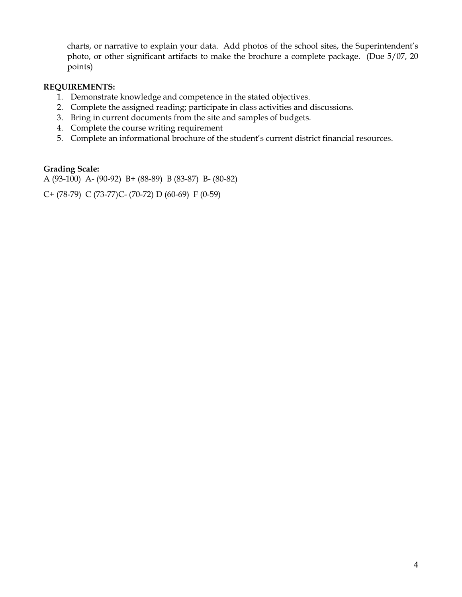charts, or narrative to explain your data. Add photos of the school sites, the Superintendent's photo, or other significant artifacts to make the brochure a complete package. (Due 5/07, 20 points)

#### **REQUIREMENTS:**

- 1. Demonstrate knowledge and competence in the stated objectives.
- 2. Complete the assigned reading; participate in class activities and discussions.
- 3. Bring in current documents from the site and samples of budgets.
- 4. Complete the course writing requirement
- 5. Complete an informational brochure of the student's current district financial resources.

#### **Grading Scale:**

A (93-100) A- (90-92) B+ (88-89) B (83-87) B- (80-82)

C+ (78-79) C (73-77)C- (70-72) D (60-69) F (0-59)